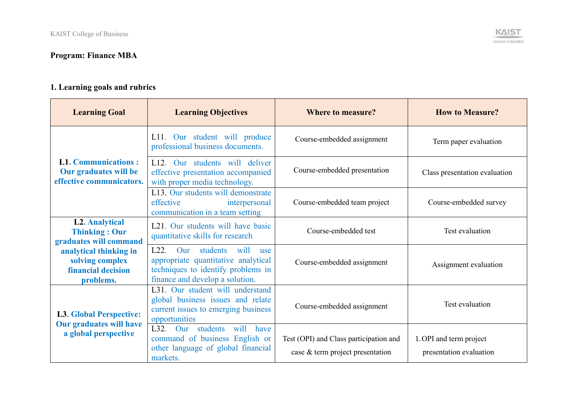## **Program: Finance MBA**

## **1. Learning goals and rubrics**

| <b>Learning Goal</b>                                                            | <b>Learning Objectives</b>                                                                                                                                          | <b>Where to measure?</b>                                                   | <b>How to Measure?</b>                             |
|---------------------------------------------------------------------------------|---------------------------------------------------------------------------------------------------------------------------------------------------------------------|----------------------------------------------------------------------------|----------------------------------------------------|
|                                                                                 | L11. Our student will produce<br>professional business documents.                                                                                                   | Course-embedded assignment                                                 | Term paper evaluation                              |
| <b>L1. Communications:</b><br>Our graduates will be<br>effective communicators. | L12. Our students will deliver<br>effective presentation accompanied<br>with proper media technology.                                                               | Course-embedded presentation                                               | Class presentation evaluation                      |
|                                                                                 | L13. Our students will demonstrate<br>effective<br>interpersonal<br>communication in a team setting                                                                 | Course-embedded team project                                               | Course-embedded survey                             |
| <b>L2. Analytical</b><br><b>Thinking: Our</b><br>graduates will command         | L21. Our students will have basic<br>quantitative skills for research                                                                                               | Course-embedded test                                                       | Test evaluation                                    |
| analytical thinking in<br>solving complex<br>financial decision<br>problems.    | students will<br>L22.<br>$_{\rm Our}$<br><b>use</b><br>appropriate quantitative analytical<br>techniques to identify problems in<br>finance and develop a solution. | Course-embedded assignment                                                 | Assignment evaluation                              |
| <b>L3. Global Perspective:</b>                                                  | L31. Our student will understand<br>global business issues and relate<br>current issues to emerging business<br>opportunities                                       | Course-embedded assignment                                                 | Test evaluation                                    |
| <b>Our graduates will have</b><br>a global perspective                          | L32. Our students<br>will<br>have<br>command of business English or<br>other language of global financial<br>markets.                                               | Test (OPI) and Class participation and<br>case & term project presentation | 1. OPI and term project<br>presentation evaluation |

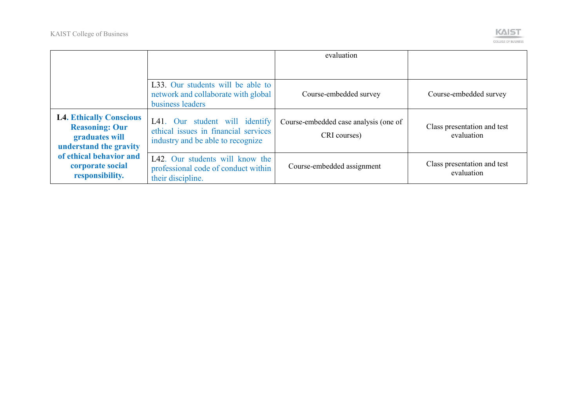

|                                                                                                     |                                                                                                             | evaluation                                            |                                           |
|-----------------------------------------------------------------------------------------------------|-------------------------------------------------------------------------------------------------------------|-------------------------------------------------------|-------------------------------------------|
|                                                                                                     | L33. Our students will be able to<br>network and collaborate with global<br>business leaders                | Course-embedded survey                                | Course-embedded survey                    |
| <b>L4. Ethically Conscious</b><br><b>Reasoning: Our</b><br>graduates will<br>understand the gravity | L41. Our student will identify<br>ethical issues in financial services<br>industry and be able to recognize | Course-embedded case analysis (one of<br>CRI courses) | Class presentation and test<br>evaluation |
| of ethical behavior and<br>corporate social<br>responsibility.                                      | L42. Our students will know the<br>professional code of conduct within<br>their discipline.                 | Course-embedded assignment                            | Class presentation and test<br>evaluation |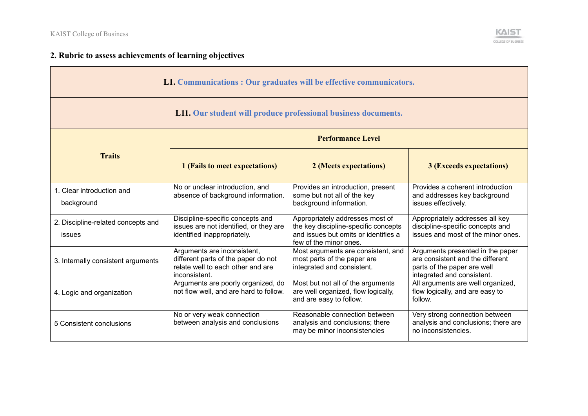

## **2. Rubric to assess achievements of learning objectives**

| L1. Communications : Our graduates will be effective communicators. |                                                                                                                          |                                                                                                                                           |                                                                                                                                   |  |
|---------------------------------------------------------------------|--------------------------------------------------------------------------------------------------------------------------|-------------------------------------------------------------------------------------------------------------------------------------------|-----------------------------------------------------------------------------------------------------------------------------------|--|
| L11. Our student will produce professional business documents.      |                                                                                                                          |                                                                                                                                           |                                                                                                                                   |  |
|                                                                     | <b>Performance Level</b>                                                                                                 |                                                                                                                                           |                                                                                                                                   |  |
| <b>Traits</b>                                                       | 1 (Fails to meet expectations)                                                                                           | 2 (Meets expectations)                                                                                                                    | <b>3 (Exceeds expectations)</b>                                                                                                   |  |
| 1. Clear introduction and<br>background                             | No or unclear introduction, and<br>absence of background information.                                                    | Provides an introduction, present<br>some but not all of the key<br>background information.                                               | Provides a coherent introduction<br>and addresses key background<br>issues effectively.                                           |  |
| 2. Discipline-related concepts and<br>issues                        | Discipline-specific concepts and<br>issues are not identified, or they are<br>identified inappropriately.                | Appropriately addresses most of<br>the key discipline-specific concepts<br>and issues but omits or identifies a<br>few of the minor ones. | Appropriately addresses all key<br>discipline-specific concepts and<br>issues and most of the minor ones.                         |  |
| 3. Internally consistent arguments                                  | Arguments are inconsistent,<br>different parts of the paper do not<br>relate well to each other and are<br>inconsistent. | Most arguments are consistent, and<br>most parts of the paper are<br>integrated and consistent.                                           | Arguments presented in the paper<br>are consistent and the different<br>parts of the paper are well<br>integrated and consistent. |  |
| 4. Logic and organization                                           | Arguments are poorly organized, do<br>not flow well, and are hard to follow.                                             | Most but not all of the arguments<br>are well organized, flow logically,<br>and are easy to follow.                                       | All arguments are well organized,<br>flow logically, and are easy to<br>follow.                                                   |  |
| 5 Consistent conclusions                                            | No or very weak connection<br>between analysis and conclusions                                                           | Reasonable connection between<br>analysis and conclusions; there<br>may be minor inconsistencies                                          | Very strong connection between<br>analysis and conclusions; there are<br>no inconsistencies.                                      |  |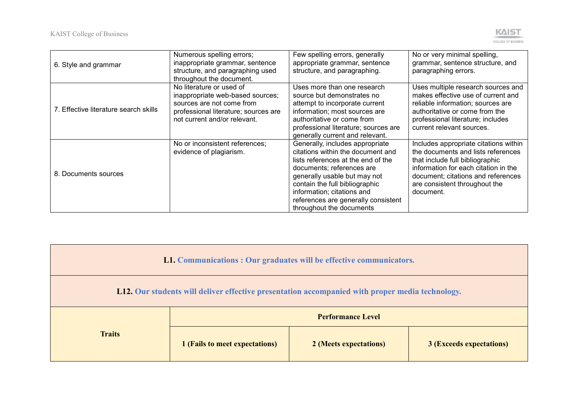

| 6. Style and grammar                  | Numerous spelling errors;<br>inappropriate grammar, sentence<br>structure, and paragraphing used<br>throughout the document.                                      | Few spelling errors, generally<br>appropriate grammar, sentence<br>structure, and paragraphing.                                                                                                                                                                                                            | No or very minimal spelling,<br>grammar, sentence structure, and<br>paragraphing errors.                                                                                                                                                   |
|---------------------------------------|-------------------------------------------------------------------------------------------------------------------------------------------------------------------|------------------------------------------------------------------------------------------------------------------------------------------------------------------------------------------------------------------------------------------------------------------------------------------------------------|--------------------------------------------------------------------------------------------------------------------------------------------------------------------------------------------------------------------------------------------|
| 7. Effective literature search skills | No literature or used of<br>inappropriate web-based sources;<br>sources are not come from<br>professional literature; sources are<br>not current and/or relevant. | Uses more than one research<br>source but demonstrates no<br>attempt to incorporate current<br>information; most sources are<br>authoritative or come from<br>professional literature; sources are<br>generally current and relevant.                                                                      | Uses multiple research sources and<br>makes effective use of current and<br>reliable information; sources are<br>authoritative or come from the<br>professional literature; includes<br>current relevant sources.                          |
| 8. Documents sources                  | No or inconsistent references;<br>evidence of plagiarism.                                                                                                         | Generally, includes appropriate<br>citations within the document and<br>lists references at the end of the<br>documents; references are<br>generally usable but may not<br>contain the full bibliographic<br>information; citations and<br>references are generally consistent<br>throughout the documents | Includes appropriate citations within<br>the documents and lists references<br>that include full bibliographic<br>information for each citation in the<br>document; citations and references<br>are consistent throughout the<br>document. |

| L1. Communications : Our graduates will be effective communicators.                                          |                          |  |  |  |
|--------------------------------------------------------------------------------------------------------------|--------------------------|--|--|--|
| <b>L12.</b> Our students will deliver effective presentation accompanied with proper media technology.       |                          |  |  |  |
|                                                                                                              | <b>Performance Level</b> |  |  |  |
| <b>Traits</b><br>1 (Fails to meet expectations)<br>2 (Meets expectations)<br><b>3 (Exceeds expectations)</b> |                          |  |  |  |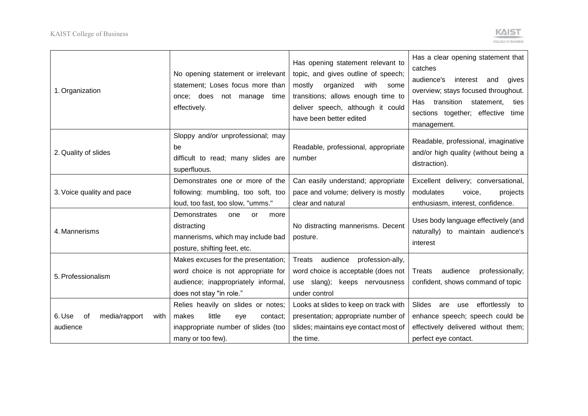

| 1. Organization                                   | No opening statement or irrelevant<br>statement; Loses focus more than<br>once; does not manage<br>time<br>effectively.                      | Has opening statement relevant to<br>topic, and gives outline of speech;<br>mostly<br>organized<br>with<br>some<br>transitions; allows enough time to<br>deliver speech, although it could<br>have been better edited | Has a clear opening statement that<br>catches<br>audience's<br>interest and<br>qives<br>overview; stays focused throughout.<br>Has transition<br>statement,<br>ties<br>sections together; effective time<br>management. |
|---------------------------------------------------|----------------------------------------------------------------------------------------------------------------------------------------------|-----------------------------------------------------------------------------------------------------------------------------------------------------------------------------------------------------------------------|-------------------------------------------------------------------------------------------------------------------------------------------------------------------------------------------------------------------------|
| 2. Quality of slides                              | Sloppy and/or unprofessional; may<br>be<br>difficult to read; many slides are<br>superfluous.                                                | Readable, professional, appropriate<br>number                                                                                                                                                                         | Readable, professional, imaginative<br>and/or high quality (without being a<br>distraction).                                                                                                                            |
| 3. Voice quality and pace                         | Demonstrates one or more of the<br>following: mumbling, too soft, too<br>loud, too fast, too slow, "umms."                                   | Can easily understand; appropriate<br>pace and volume; delivery is mostly<br>clear and natural                                                                                                                        | Excellent delivery; conversational,<br>modulates<br>projects<br>voice,<br>enthusiasm, interest, confidence.                                                                                                             |
| 4. Mannerisms                                     | <b>Demonstrates</b><br>one<br>or<br>more<br>distracting<br>mannerisms, which may include bad<br>posture, shifting feet, etc.                 | No distracting mannerisms. Decent<br>posture.                                                                                                                                                                         | Uses body language effectively (and<br>naturally) to maintain audience's<br>interest                                                                                                                                    |
| 5. Professionalism                                | Makes excuses for the presentation;<br>word choice is not appropriate for<br>audience; inappropriately informal,<br>does not stay "in role." | Treats audience<br>profession-ally,<br>word choice is acceptable (does not<br>use slang); keeps nervousness<br>under control                                                                                          | audience<br>professionally;<br>Treats<br>confident, shows command of topic                                                                                                                                              |
| media/rapport<br>6. Use<br>οf<br>with<br>audience | Relies heavily on slides or notes;<br>little<br>makes<br>eye<br>contact:<br>inappropriate number of slides (too<br>many or too few).         | Looks at slides to keep on track with<br>presentation; appropriate number of<br>slides; maintains eye contact most of<br>the time.                                                                                    | effortlessly to<br>Slides<br>are use<br>enhance speech; speech could be<br>effectively delivered without them;<br>perfect eye contact.                                                                                  |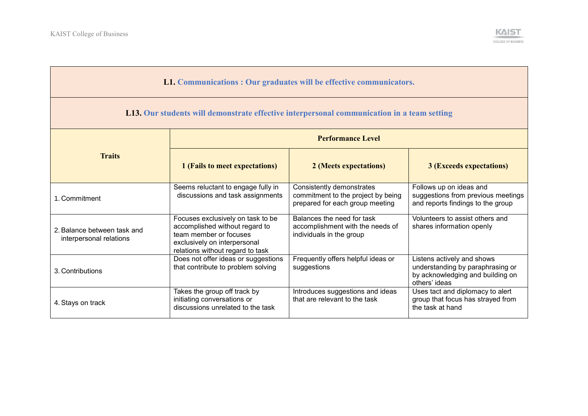

| L1. Communications : Our graduates will be effective communicators.                               |                                                                                                                                                                   |                                                                                                    |                                                                                                                     |  |
|---------------------------------------------------------------------------------------------------|-------------------------------------------------------------------------------------------------------------------------------------------------------------------|----------------------------------------------------------------------------------------------------|---------------------------------------------------------------------------------------------------------------------|--|
| <b>L13.</b> Our students will demonstrate effective interpersonal communication in a team setting |                                                                                                                                                                   |                                                                                                    |                                                                                                                     |  |
|                                                                                                   |                                                                                                                                                                   | <b>Performance Level</b>                                                                           |                                                                                                                     |  |
| <b>Traits</b>                                                                                     | 1 (Fails to meet expectations)                                                                                                                                    | 2 (Meets expectations)                                                                             | <b>3 (Exceeds expectations)</b>                                                                                     |  |
| 1. Commitment                                                                                     | Seems reluctant to engage fully in<br>discussions and task assignments                                                                                            | Consistently demonstrates<br>commitment to the project by being<br>prepared for each group meeting | Follows up on ideas and<br>suggestions from previous meetings<br>and reports findings to the group                  |  |
| 2. Balance between task and<br>interpersonal relations                                            | Focuses exclusively on task to be<br>accomplished without regard to<br>team member or focuses<br>exclusively on interpersonal<br>relations without regard to task | Balances the need for task<br>accomplishment with the needs of<br>individuals in the group         | Volunteers to assist others and<br>shares information openly                                                        |  |
| 3. Contributions                                                                                  | Does not offer ideas or suggestions<br>that contribute to problem solving                                                                                         | Frequently offers helpful ideas or<br>suggestions                                                  | Listens actively and shows<br>understanding by paraphrasing or<br>by acknowledging and building on<br>others' ideas |  |
| 4. Stays on track                                                                                 | Takes the group off track by<br>initiating conversations or<br>discussions unrelated to the task                                                                  | Introduces suggestions and ideas<br>that are relevant to the task                                  | Uses tact and diplomacy to alert<br>group that focus has strayed from<br>the task at hand                           |  |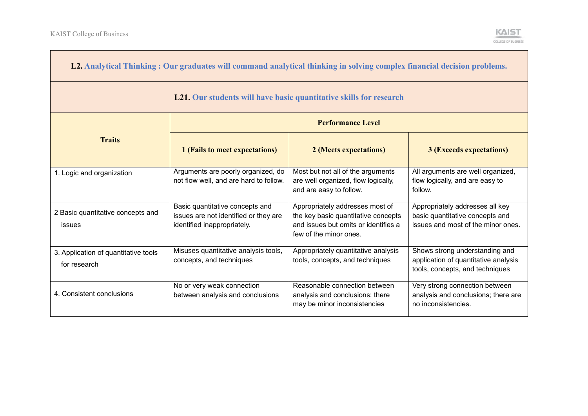| L2. Analytical Thinking: Our graduates will command analytical thinking in solving complex financial decision problems. |                                                                                                         |                                                                                                                                          |                                                                                                           |
|-------------------------------------------------------------------------------------------------------------------------|---------------------------------------------------------------------------------------------------------|------------------------------------------------------------------------------------------------------------------------------------------|-----------------------------------------------------------------------------------------------------------|
| L21. Our students will have basic quantitative skills for research                                                      |                                                                                                         |                                                                                                                                          |                                                                                                           |
|                                                                                                                         |                                                                                                         | <b>Performance Level</b>                                                                                                                 |                                                                                                           |
| <b>Traits</b>                                                                                                           | 1 (Fails to meet expectations)                                                                          | 2 (Meets expectations)                                                                                                                   | <b>3 (Exceeds expectations)</b>                                                                           |
| 1. Logic and organization                                                                                               | Arguments are poorly organized, do<br>not flow well, and are hard to follow.                            | Most but not all of the arguments<br>are well organized, flow logically,<br>and are easy to follow.                                      | All arguments are well organized,<br>flow logically, and are easy to<br>follow.                           |
| 2 Basic quantitative concepts and<br>issues                                                                             | Basic quantitative concepts and<br>issues are not identified or they are<br>identified inappropriately. | Appropriately addresses most of<br>the key basic quantitative concepts<br>and issues but omits or identifies a<br>few of the minor ones. | Appropriately addresses all key<br>basic quantitative concepts and<br>issues and most of the minor ones.  |
| 3. Application of quantitative tools<br>for research                                                                    | Misuses quantitative analysis tools,<br>concepts, and techniques                                        | Appropriately quantitative analysis<br>tools, concepts, and techniques                                                                   | Shows strong understanding and<br>application of quantitative analysis<br>tools, concepts, and techniques |
| 4. Consistent conclusions                                                                                               | No or very weak connection<br>between analysis and conclusions                                          | Reasonable connection between<br>analysis and conclusions; there<br>may be minor inconsistencies                                         | Very strong connection between<br>analysis and conclusions; there are<br>no inconsistencies.              |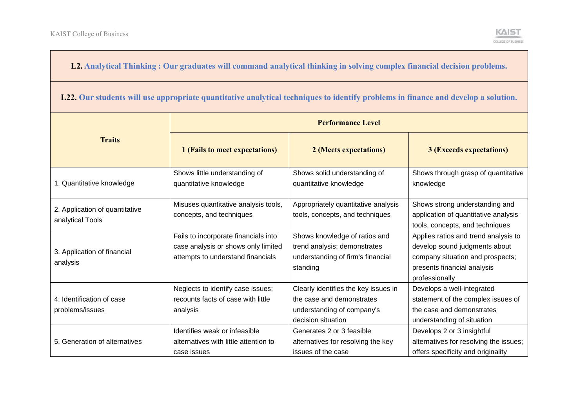## **L2. Analytical Thinking : Our graduates will command analytical thinking in solving complex financial decision problems.**

**L22. Our students will use appropriate quantitative analytical techniques to identify problems in finance and develop a solution.**

|                                                    | <b>Performance Level</b>                                                                                         |                                                                                                                       |                                                                                                                                                            |  |
|----------------------------------------------------|------------------------------------------------------------------------------------------------------------------|-----------------------------------------------------------------------------------------------------------------------|------------------------------------------------------------------------------------------------------------------------------------------------------------|--|
| <b>Traits</b>                                      | 1 (Fails to meet expectations)                                                                                   | 2 (Meets expectations)                                                                                                | <b>3 (Exceeds expectations)</b>                                                                                                                            |  |
| 1. Quantitative knowledge                          | Shows little understanding of<br>quantitative knowledge                                                          | Shows solid understanding of<br>quantitative knowledge                                                                | Shows through grasp of quantitative<br>knowledge                                                                                                           |  |
| 2. Application of quantitative<br>analytical Tools | Misuses quantitative analysis tools,<br>concepts, and techniques                                                 | Appropriately quantitative analysis<br>tools, concepts, and techniques                                                | Shows strong understanding and<br>application of quantitative analysis<br>tools, concepts, and techniques                                                  |  |
| 3. Application of financial<br>analysis            | Fails to incorporate financials into<br>case analysis or shows only limited<br>attempts to understand financials | Shows knowledge of ratios and<br>trend analysis; demonstrates<br>understanding of firm's financial<br>standing        | Applies ratios and trend analysis to<br>develop sound judgments about<br>company situation and prospects;<br>presents financial analysis<br>professionally |  |
| 4. Identification of case<br>problems/issues       | Neglects to identify case issues;<br>recounts facts of case with little<br>analysis                              | Clearly identifies the key issues in<br>the case and demonstrates<br>understanding of company's<br>decision situation | Develops a well-integrated<br>statement of the complex issues of<br>the case and demonstrates<br>understanding of situation                                |  |
| 5. Generation of alternatives                      | Identifies weak or infeasible<br>alternatives with little attention to<br>case issues                            | Generates 2 or 3 feasible<br>alternatives for resolving the key<br>issues of the case                                 | Develops 2 or 3 insightful<br>alternatives for resolving the issues;<br>offers specificity and originality                                                 |  |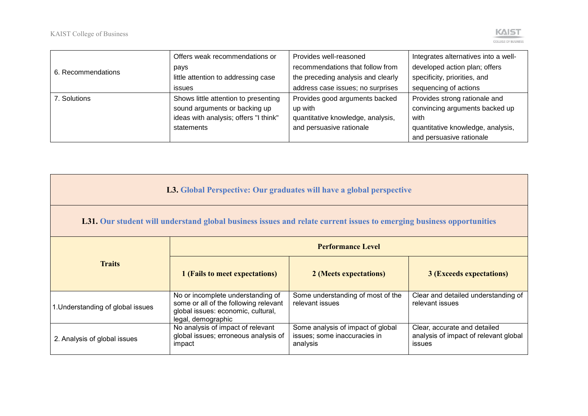|                    | Offers weak recommendations or        | Provides well-reasoned             | Integrates alternatives into a well- |
|--------------------|---------------------------------------|------------------------------------|--------------------------------------|
| 6. Recommendations | pays                                  | recommendations that follow from   | developed action plan; offers        |
|                    | little attention to addressing case   | the preceding analysis and clearly | specificity, priorities, and         |
|                    | issues                                | address case issues; no surprises  | sequencing of actions                |
| 7. Solutions       | Shows little attention to presenting  | Provides good arguments backed     | Provides strong rationale and        |
|                    | sound arguments or backing up         | up with                            | convincing arguments backed up       |
|                    | ideas with analysis; offers "I think" | quantitative knowledge, analysis,  | with                                 |
|                    | statements                            | and persuasive rationale           | quantitative knowledge, analysis,    |
|                    |                                       |                                    | and persuasive rationale             |

| L3. Global Perspective: Our graduates will have a global perspective                                                        |                                                                                                                                        |                                                                               |                                                                                        |
|-----------------------------------------------------------------------------------------------------------------------------|----------------------------------------------------------------------------------------------------------------------------------------|-------------------------------------------------------------------------------|----------------------------------------------------------------------------------------|
| <b>L31.</b> Our student will understand global business issues and relate current issues to emerging business opportunities |                                                                                                                                        |                                                                               |                                                                                        |
|                                                                                                                             | <b>Performance Level</b>                                                                                                               |                                                                               |                                                                                        |
| <b>Traits</b>                                                                                                               | 1 (Fails to meet expectations)                                                                                                         | 2 (Meets expectations)                                                        | <b>3 (Exceeds expectations)</b>                                                        |
| 1. Understanding of global issues                                                                                           | No or incomplete understanding of<br>some or all of the following relevant<br>global issues: economic, cultural,<br>legal, demographic | Some understanding of most of the<br>relevant issues                          | Clear and detailed understanding of<br>relevant issues                                 |
| 2. Analysis of global issues                                                                                                | No analysis of impact of relevant<br>global issues; erroneous analysis of<br>impact                                                    | Some analysis of impact of global<br>issues; some inaccuracies in<br>analysis | Clear, accurate and detailed<br>analysis of impact of relevant global<br><b>issues</b> |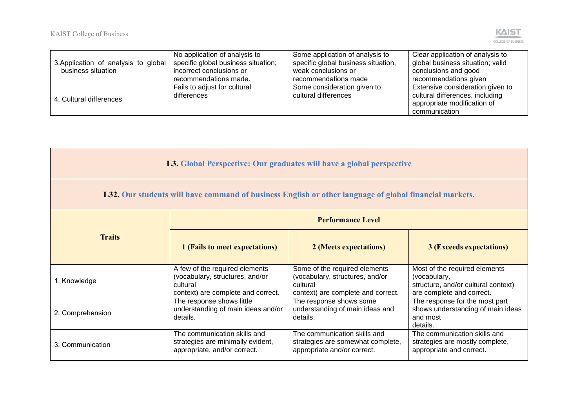

|                                      | No application of analysis to       | Some application of analysis to     | Clear application of analysis to |
|--------------------------------------|-------------------------------------|-------------------------------------|----------------------------------|
| 3. Application of analysis to global | specific global business situation; | specific global business situation, | global business situation; valid |
| business situation                   | incorrect conclusions or            | weak conclusions or                 | conclusions and good             |
|                                      | recommendations made.               | recommendations made                | recommendations given            |
| 4. Cultural differences              | Fails to adjust for cultural        | Some consideration given to         | Extensive consideration given to |
|                                      | differences                         | cultural differences                | cultural differences, including  |
|                                      |                                     |                                     | appropriate modification of      |
|                                      |                                     |                                     | communication                    |

|  |  |  | <b>L3.</b> Global Perspective: Our graduates will have a global perspective |  |
|--|--|--|-----------------------------------------------------------------------------|--|
|--|--|--|-----------------------------------------------------------------------------|--|

**L32. Our students will have command of business English or other language of global financial markets.**

|                  | <b>Performance Level</b>                                                                                            |                                                                                                                    |                                                                                                                   |  |
|------------------|---------------------------------------------------------------------------------------------------------------------|--------------------------------------------------------------------------------------------------------------------|-------------------------------------------------------------------------------------------------------------------|--|
| <b>Traits</b>    | 1 (Fails to meet expectations)                                                                                      | 2 (Meets expectations)                                                                                             | <b>3 (Exceeds expectations)</b>                                                                                   |  |
| 1. Knowledge     | A few of the required elements<br>(vocabulary, structures, and/or<br>cultural<br>context) are complete and correct. | Some of the required elements<br>(vocabulary, structures, and/or<br>cultural<br>context) are complete and correct. | Most of the required elements<br>(vocabulary,<br>structure, and/or cultural context)<br>are complete and correct. |  |
| 2. Comprehension | The response shows little<br>understanding of main ideas and/or<br>details.                                         | The response shows some<br>understanding of main ideas and<br>details.                                             | The response for the most part<br>shows understanding of main ideas<br>and most<br>details.                       |  |
| 3. Communication | The communication skills and<br>strategies are minimally evident,<br>appropriate, and/or correct.                   | The communication skills and<br>strategies are somewhat complete,<br>appropriate and/or correct.                   | The communication skills and<br>strategies are mostly complete,<br>appropriate and correct.                       |  |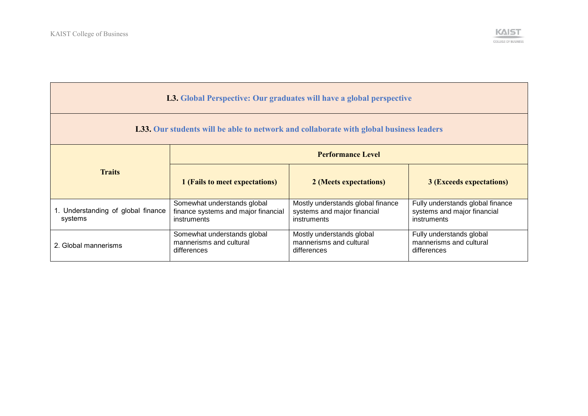

| L3. Global Perspective: Our graduates will have a global perspective                          |                                                                                   |                                                                                 |                                                                                |  |
|-----------------------------------------------------------------------------------------------|-----------------------------------------------------------------------------------|---------------------------------------------------------------------------------|--------------------------------------------------------------------------------|--|
| <b>L33. Our students will be able to network and collaborate with global business leaders</b> |                                                                                   |                                                                                 |                                                                                |  |
|                                                                                               | <b>Performance Level</b>                                                          |                                                                                 |                                                                                |  |
| <b>Traits</b>                                                                                 | 1 (Fails to meet expectations)                                                    | 2 (Meets expectations)                                                          | <b>3 (Exceeds expectations)</b>                                                |  |
| 1. Understanding of global finance<br>systems                                                 | Somewhat understands global<br>finance systems and major financial<br>instruments | Mostly understands global finance<br>systems and major financial<br>instruments | Fully understands global finance<br>systems and major financial<br>instruments |  |
| 2. Global mannerisms                                                                          | Somewhat understands global<br>mannerisms and cultural<br>differences             | Mostly understands global<br>mannerisms and cultural<br>differences             | Fully understands global<br>mannerisms and cultural<br>differences             |  |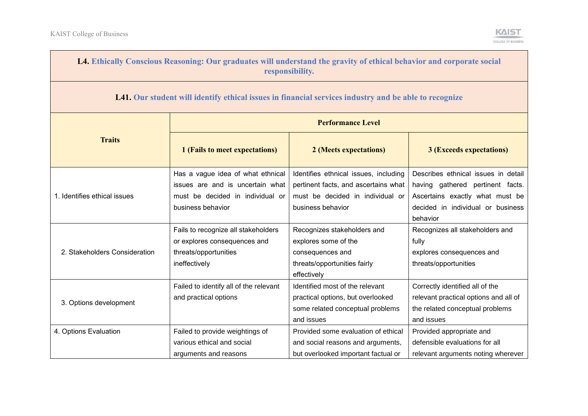$\blacksquare$ 



e e

| L4. Ethically Conscious Reasoning: Our graduates will understand the gravity of ethical behavior and corporate social<br>responsibility. |                                                                                                                                |                                                                                                                                        |                                                                                                                                                             |  |
|------------------------------------------------------------------------------------------------------------------------------------------|--------------------------------------------------------------------------------------------------------------------------------|----------------------------------------------------------------------------------------------------------------------------------------|-------------------------------------------------------------------------------------------------------------------------------------------------------------|--|
| L41. Our student will identify ethical issues in financial services industry and be able to recognize                                    |                                                                                                                                |                                                                                                                                        |                                                                                                                                                             |  |
|                                                                                                                                          | <b>Performance Level</b>                                                                                                       |                                                                                                                                        |                                                                                                                                                             |  |
| <b>Traits</b>                                                                                                                            | 1 (Fails to meet expectations)                                                                                                 | 2 (Meets expectations)                                                                                                                 | <b>3 (Exceeds expectations)</b>                                                                                                                             |  |
| 1. Identifies ethical issues                                                                                                             | Has a vague idea of what ethnical<br>issues are and is uncertain what<br>must be decided in individual or<br>business behavior | Identifies ethnical issues, including<br>pertinent facts, and ascertains what<br>must be decided in individual or<br>business behavior | Describes ethnical issues in detail<br>having gathered pertinent facts.<br>Ascertains exactly what must be<br>decided in individual or business<br>behavior |  |
| 2. Stakeholders Consideration                                                                                                            | Fails to recognize all stakeholders<br>or explores consequences and<br>threats/opportunities<br>ineffectively                  | Recognizes stakeholders and<br>explores some of the<br>consequences and<br>threats/opportunities fairly<br>effectively                 | Recognizes all stakeholders and<br>fully<br>explores consequences and<br>threats/opportunities                                                              |  |
| 3. Options development                                                                                                                   | Failed to identify all of the relevant<br>and practical options                                                                | Identified most of the relevant<br>practical options, but overlooked<br>some related conceptual problems<br>and issues                 | Correctly identified all of the<br>relevant practical options and all of<br>the related conceptual problems<br>and issues                                   |  |
| 4. Options Evaluation                                                                                                                    | Failed to provide weightings of<br>various ethical and social<br>arguments and reasons                                         | Provided some evaluation of ethical<br>and social reasons and arguments,<br>but overlooked important factual or                        | Provided appropriate and<br>defensible evaluations for all<br>relevant arguments noting wherever                                                            |  |